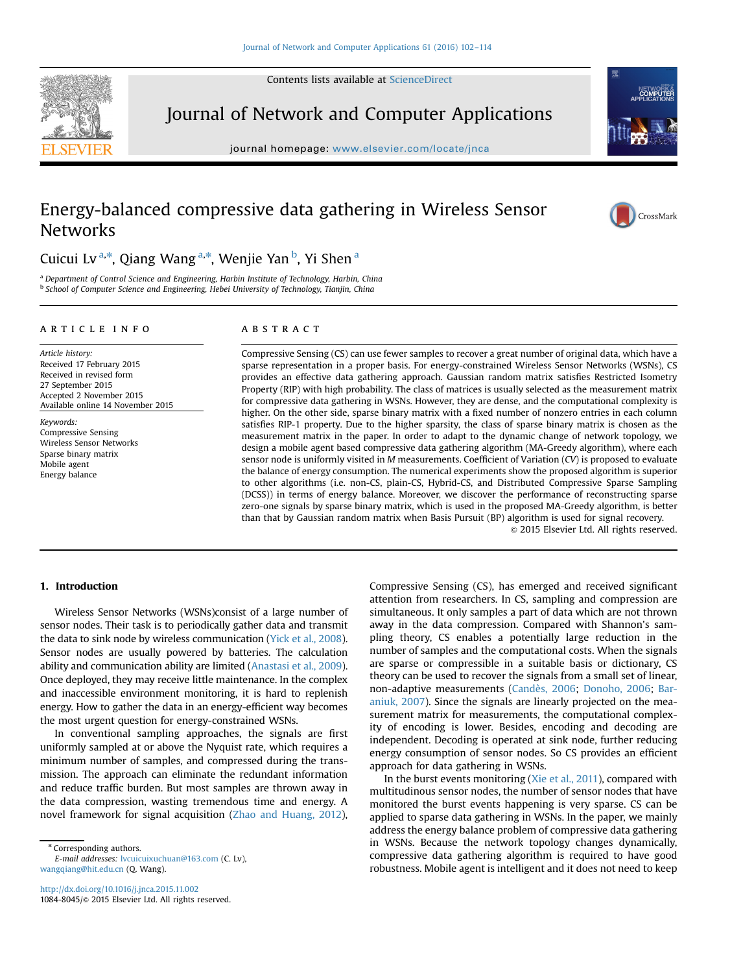Contents lists available at [ScienceDirect](www.sciencedirect.com/science/journal/10848045)



Journal of Network and Computer Applications

journal homepage: <www.elsevier.com/locate/jnca>te/jncate/jncate/jncate/jncate/jncate/jncate/jncate/jncate/jncate/jncate/jncate/jncate/jncate/jncate/jncate/jncate/jncate/jncate/jncate/jncate/jncate/jncate/jncate/jncate/jnca



## Energy-balanced compressive data gathering in Wireless Sensor **Networks**



Cuicui Lv<sup>a,\*</sup>, Qiang Wang<sup>a,\*</sup>, Wenjie Yan<sup>b</sup>, Yi Shen<sup>a</sup>

<sup>a</sup> Department of Control Science and Engineering, Harbin Institute of Technology, Harbin, China **b School of Computer Science and Engineering, Hebei University of Technology, Tianjin, China** 

#### article info

Article history: Received 17 February 2015 Received in revised form 27 September 2015 Accepted 2 November 2015 Available online 14 November 2015

Keywords: Compressive Sensing Wireless Sensor Networks Sparse binary matrix Mobile agent Energy balance

### **ABSTRACT**

Compressive Sensing (CS) can use fewer samples to recover a great number of original data, which have a sparse representation in a proper basis. For energy-constrained Wireless Sensor Networks (WSNs), CS provides an effective data gathering approach. Gaussian random matrix satisfies Restricted Isometry Property (RIP) with high probability. The class of matrices is usually selected as the measurement matrix for compressive data gathering in WSNs. However, they are dense, and the computational complexity is higher. On the other side, sparse binary matrix with a fixed number of nonzero entries in each column satisfies RIP-1 property. Due to the higher sparsity, the class of sparse binary matrix is chosen as the measurement matrix in the paper. In order to adapt to the dynamic change of network topology, we design a mobile agent based compressive data gathering algorithm (MA-Greedy algorithm), where each sensor node is uniformly visited in M measurements. Coefficient of Variation (CV) is proposed to evaluate the balance of energy consumption. The numerical experiments show the proposed algorithm is superior to other algorithms (i.e. non-CS, plain-CS, Hybrid-CS, and Distributed Compressive Sparse Sampling (DCSS)) in terms of energy balance. Moreover, we discover the performance of reconstructing sparse zero-one signals by sparse binary matrix, which is used in the proposed MA-Greedy algorithm, is better than that by Gaussian random matrix when Basis Pursuit (BP) algorithm is used for signal recovery.

 $©$  2015 Elsevier Ltd. All rights reserved.

#### 1. Introduction

Wireless Sensor Networks (WSNs)consist of a large number of sensor nodes. Their task is to periodically gather data and transmit the data to sink node by wireless communication (Yick et al., 2008). Sensor nodes are usually powered by batteries. The calculation ability and communication ability are limited (Anastasi et al., 2009). Once deployed, they may receive little maintenance. In the complex and inaccessible environment monitoring, it is hard to replenish energy. How to gather the data in an energy-efficient way becomes the most urgent question for energy-constrained WSNs.

In conventional sampling approaches, the signals are first uniformly sampled at or above the Nyquist rate, which requires a minimum number of samples, and compressed during the transmission. The approach can eliminate the redundant information and reduce traffic burden. But most samples are thrown away in the data compression, wasting tremendous time and energy. A novel framework for signal acquisition (Zhao and Huang, 2012),

\* Corresponding authors.

E-mail addresses: [lvcuicuixuchuan@163.com](mailto:lvcuicuixuchuan@163.com) (C. Lv), [wangqiang@hit.edu.cn](mailto:wangqiang@hit.edu.cn) (Q. Wang).

Compressive Sensing (CS), has emerged and received significant attention from researchers. In CS, sampling and compression are simultaneous. It only samples a part of data which are not thrown away in the data compression. Compared with Shannon's sampling theory, CS enables a potentially large reduction in the number of samples and the computational costs. When the signals are sparse or compressible in a suitable basis or dictionary, CS theory can be used to recover the signals from a small set of linear, non-adaptive measurements (Candès, 2006; Donoho, 2006; Baraniuk, 2007). Since the signals are linearly projected on the measurement matrix for measurements, the computational complexity of encoding is lower. Besides, encoding and decoding are independent. Decoding is operated at sink node, further reducing energy consumption of sensor nodes. So CS provides an efficient approach for data gathering in WSNs.

In the burst events monitoring (Xie et al., 2011), compared with multitudinous sensor nodes, the number of sensor nodes that have monitored the burst events happening is very sparse. CS can be applied to sparse data gathering in WSNs. In the paper, we mainly address the energy balance problem of compressive data gathering in WSNs. Because the network topology changes dynamically, compressive data gathering algorithm is required to have good robustness. Mobile agent is intelligent and it does not need to keep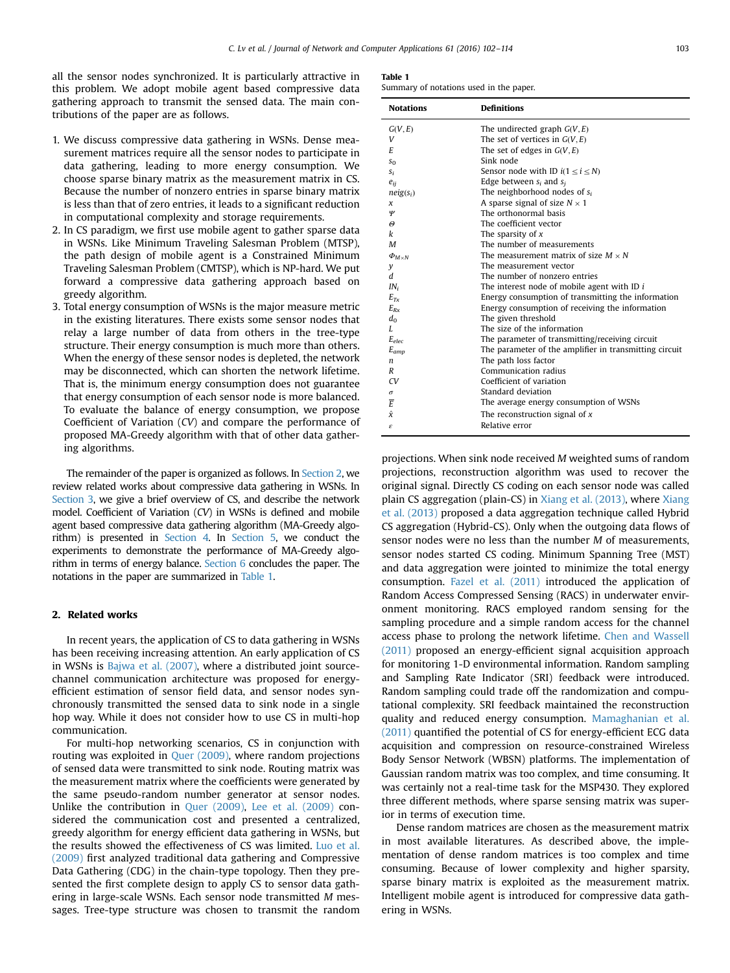all the sensor nodes synchronized. It is particularly attractive in this problem. We adopt mobile agent based compressive data gathering approach to transmit the sensed data. The main contributions of the paper are as follows.

- 1. We discuss compressive data gathering in WSNs. Dense measurement matrices require all the sensor nodes to participate in data gathering, leading to more energy consumption. We choose sparse binary matrix as the measurement matrix in CS. Because the number of nonzero entries in sparse binary matrix is less than that of zero entries, it leads to a significant reduction in computational complexity and storage requirements.
- 2. In CS paradigm, we first use mobile agent to gather sparse data in WSNs. Like Minimum Traveling Salesman Problem (MTSP), the path design of mobile agent is a Constrained Minimum Traveling Salesman Problem (CMTSP), which is NP-hard. We put forward a compressive data gathering approach based on greedy algorithm.
- 3. Total energy consumption of WSNs is the major measure metric in the existing literatures. There exists some sensor nodes that relay a large number of data from others in the tree-type structure. Their energy consumption is much more than others. When the energy of these sensor nodes is depleted, the network may be disconnected, which can shorten the network lifetime. That is, the minimum energy consumption does not guarantee that energy consumption of each sensor node is more balanced. To evaluate the balance of energy consumption, we propose Coefficient of Variation (CV) and compare the performance of proposed MA-Greedy algorithm with that of other data gathering algorithms.

The remainder of the paper is organized as follows. In Section 2, we review related works about compressive data gathering in WSNs. In Section 3, we give a brief overview of CS, and describe the network model. Coefficient of Variation (CV) in WSNs is defined and mobile agent based compressive data gathering algorithm (MA-Greedy algorithm) is presented in Section 4. In Section 5, we conduct the experiments to demonstrate the performance of MA-Greedy algorithm in terms of energy balance. Section 6 concludes the paper. The notations in the paper are summarized in Table 1.

#### 2. Related works

In recent years, the application of CS to data gathering in WSNs has been receiving increasing attention. An early application of CS in WSNs is Bajwa et al. (2007), where a distributed joint sourcechannel communication architecture was proposed for energyefficient estimation of sensor field data, and sensor nodes synchronously transmitted the sensed data to sink node in a single hop way. While it does not consider how to use CS in multi-hop communication.

For multi-hop networking scenarios, CS in conjunction with routing was exploited in Quer (2009), where random projections of sensed data were transmitted to sink node. Routing matrix was the measurement matrix where the coefficients were generated by the same pseudo-random number generator at sensor nodes. Unlike the contribution in Quer (2009), Lee et al. (2009) considered the communication cost and presented a centralized, greedy algorithm for energy efficient data gathering in WSNs, but the results showed the effectiveness of CS was limited. Luo et al. (2009) first analyzed traditional data gathering and Compressive Data Gathering (CDG) in the chain-type topology. Then they presented the first complete design to apply CS to sensor data gathering in large-scale WSNs. Each sensor node transmitted M messages. Tree-type structure was chosen to transmit the random

| Summary of notations used in the paper. |  |  |  |  |  |
|-----------------------------------------|--|--|--|--|--|
|-----------------------------------------|--|--|--|--|--|

| <b>Notations</b>   | <b>Definitions</b>                                     |
|--------------------|--------------------------------------------------------|
| G(V, E)            | The undirected graph $G(V, E)$                         |
| V                  | The set of vertices in $G(V, E)$                       |
| E                  | The set of edges in $G(V, E)$                          |
| $S_{0}$            | Sink node                                              |
| $S_i$              | Sensor node with ID $i(1 \le i \le N)$                 |
| $e_{ii}$           | Edge between $s_i$ and $s_i$                           |
| $neig(s_i)$        | The neighborhood nodes of $s_i$                        |
| x                  | A sparse signal of size $N \times 1$                   |
| Ψ                  | The orthonormal basis                                  |
| Θ                  | The coefficient vector                                 |
| k                  | The sparsity of $x$                                    |
| M                  | The number of measurements                             |
| $\Phi_{M\times N}$ | The measurement matrix of size $M \times N$            |
| y                  | The measurement vector                                 |
| d                  | The number of nonzero entries                          |
| $IN_i$             | The interest node of mobile agent with ID i            |
| $E_{Tx}$           | Energy consumption of transmitting the information     |
| $E_{Rx}$           | Energy consumption of receiving the information        |
| $d_0$              | The given threshold                                    |
| L                  | The size of the information                            |
| $E_{elec}$         | The parameter of transmitting/receiving circuit        |
| $E_{amp}$          | The parameter of the amplifier in transmitting circuit |
| n                  | The path loss factor                                   |
| R                  | Communication radius                                   |
| CV                 | Coefficient of variation                               |
| $\sigma$           | Standard deviation                                     |
| Ē                  | The average energy consumption of WSNs                 |
| $\hat{x}$          | The reconstruction signal of $x$                       |
| έ                  | Relative error                                         |

projections. When sink node received M weighted sums of random projections, reconstruction algorithm was used to recover the original signal. Directly CS coding on each sensor node was called plain CS aggregation (plain-CS) in Xiang et al. (2013), where Xiang et al. (2013) proposed a data aggregation technique called Hybrid CS aggregation (Hybrid-CS). Only when the outgoing data flows of sensor nodes were no less than the number M of measurements, sensor nodes started CS coding. Minimum Spanning Tree (MST) and data aggregation were jointed to minimize the total energy consumption. Fazel et al. (2011) introduced the application of Random Access Compressed Sensing (RACS) in underwater environment monitoring. RACS employed random sensing for the sampling procedure and a simple random access for the channel access phase to prolong the network lifetime. Chen and Wassell (2011) proposed an energy-efficient signal acquisition approach for monitoring 1-D environmental information. Random sampling and Sampling Rate Indicator (SRI) feedback were introduced. Random sampling could trade off the randomization and computational complexity. SRI feedback maintained the reconstruction quality and reduced energy consumption. Mamaghanian et al. (2011) quantified the potential of CS for energy-efficient ECG data acquisition and compression on resource-constrained Wireless Body Sensor Network (WBSN) platforms. The implementation of Gaussian random matrix was too complex, and time consuming. It was certainly not a real-time task for the MSP430. They explored three different methods, where sparse sensing matrix was superior in terms of execution time.

Dense random matrices are chosen as the measurement matrix in most available literatures. As described above, the implementation of dense random matrices is too complex and time consuming. Because of lower complexity and higher sparsity, sparse binary matrix is exploited as the measurement matrix. Intelligent mobile agent is introduced for compressive data gathering in WSNs.